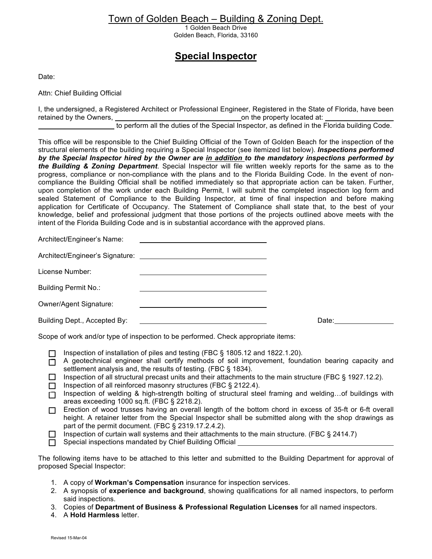## Town of Golden Beach – Building & Zoning Dept.

1 Golden Beach Drive Golden Beach, Florida, 33160

# **Special Inspector**

Date:

Attn: Chief Building Official

I, the undersigned, a Registered Architect or Professional Engineer, Registered in the State of Florida, have been retained by the Owners, and the property located at: the property located at:

to perform all the duties of the Special Inspector, as defined in the Florida building Code.

This office will be responsible to the Chief Building Official of the Town of Golden Beach for the inspection of the structural elements of the building requiring a Special Inspector (see itemized list below). *Inspections performed by the Special Inspector hired by the Owner are in addition to the mandatory inspections performed by the Building & Zoning Department*. Special Inspector will file written weekly reports for the same as to the progress, compliance or non-compliance with the plans and to the Florida Building Code. In the event of noncompliance the Building Official shall be notified immediately so that appropriate action can be taken. Further, upon completion of the work under each Building Permit, I will submit the completed inspection log form and sealed Statement of Compliance to the Building Inspector, at time of final inspection and before making application for Certificate of Occupancy. The Statement of Compliance shall state that, to the best of your knowledge, belief and professional judgment that those portions of the projects outlined above meets with the intent of the Florida Building Code and is in substantial accordance with the approved plans.

Architect/Engineer's Name:

| Architect/Engineer's Signature: |  |
|---------------------------------|--|
|                                 |  |

|  | License Number: |  |
|--|-----------------|--|
|--|-----------------|--|

Building Permit No.:

Owner/Agent Signature:

Building Dept., Accepted By: **Date: Building Dept., Accepted By: Date: Date: Date: Date: Date: Date: Date: Date: Date: Date: Date: Date: Date: Date: Date: Date: Date: Date: Date: D** 

Scope of work and/or type of inspection to be performed. Check appropriate items:

- □ Inspection of installation of piles and testing (FBC § 1805.12 and 1822.1.20).
- $\overline{\Box}$  A geotechnical engineer shall certify methods of soil improvement, foundation bearing capacity and settlement analysis and, the results of testing. (FBC § 1834).
- $\Box$  Inspection of all structural precast units and their attachments to the main structure (FBC § 1927.12.2).
- $\Box$  Inspection of all reinforced masonry structures (FBC § 2122.4).
- Inspection of welding & high-strength bolting of structural steel framing and welding...of buildings with areas exceeding 1000 sq.ft. (FBC § 2218.2).
- $\Box$  Erection of wood trusses having an overall length of the bottom chord in excess of 35-ft or 6-ft overall height. A retainer letter from the Special Inspector shall be submitted along with the shop drawings as part of the permit document. (FBC § 2319.17.2.4.2).
- $\Box$  Inspection of curtain wall systems and their attachments to the main structure. (FBC § 2414.7)
- $\Box$  Special inspections mandated by Chief Building Official

The following items have to be attached to this letter and submitted to the Building Department for approval of proposed Special Inspector:

- 1. A copy of **Workman's Compensation** insurance for inspection services.
- 2. A synopsis of **experience and background**, showing qualifications for all named inspectors, to perform said inspections.
- 3. Copies of **Department of Business & Professional Regulation Licenses** for all named inspectors.
- 4. A **Hold Harmless** letter.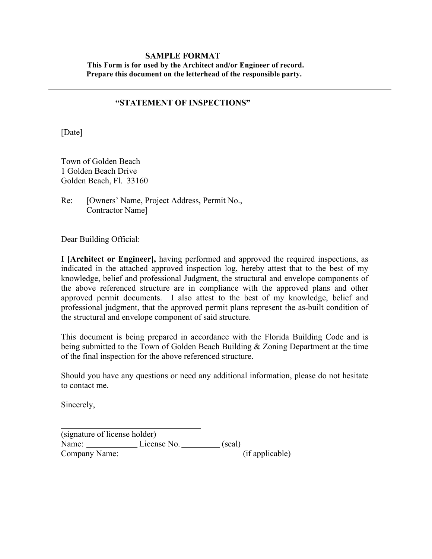#### **SAMPLE FORMAT This Form is for used by the Architect and/or Engineer of record. Prepare this document on the letterhead of the responsible party.**

#### **"STATEMENT OF INSPECTIONS"**

[Date]

Town of Golden Beach 1 Golden Beach Drive Golden Beach, Fl. 33160

Re: [Owners' Name, Project Address, Permit No., Contractor Name]

Dear Building Official:

**I [Architect or Engineer],** having performed and approved the required inspections, as indicated in the attached approved inspection log, hereby attest that to the best of my knowledge, belief and professional Judgment, the structural and envelope components of the above referenced structure are in compliance with the approved plans and other approved permit documents. I also attest to the best of my knowledge, belief and professional judgment, that the approved permit plans represent the as-built condition of the structural and envelope component of said structure.

This document is being prepared in accordance with the Florida Building Code and is being submitted to the Town of Golden Beach Building & Zoning Department at the time of the final inspection for the above referenced structure.

Should you have any questions or need any additional information, please do not hesitate to contact me.

Sincerely,

(signature of license holder) Name: License No. (seal) Company Name: (if applicable)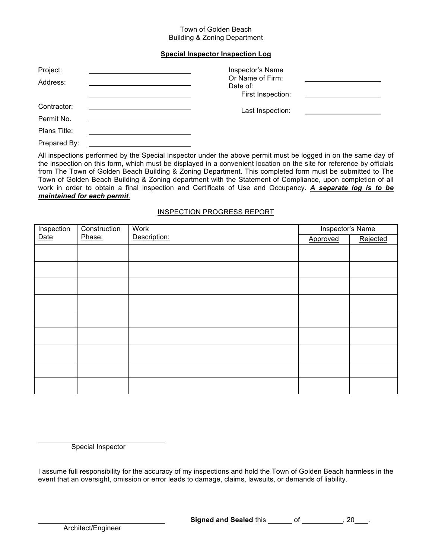#### Town of Golden Beach Building & Zoning Department

#### **Special Inspector Inspection Log**

| Project:     | Inspector's Name                                  |  |
|--------------|---------------------------------------------------|--|
| Address:     | Or Name of Firm:<br>Date of:<br>First Inspection: |  |
| Contractor:  | Last Inspection:                                  |  |
| Permit No.   |                                                   |  |
| Plans Title: |                                                   |  |

Prepared By:

All inspections performed by the Special Inspector under the above permit must be logged in on the same day of the inspection on this form, which must be displayed in a convenient location on the site for reference by officials from The Town of Golden Beach Building & Zoning Department. This completed form must be submitted to The Town of Golden Beach Building & Zoning department with the Statement of Compliance, upon completion of all work in order to obtain a final inspection and Certificate of Use and Occupancy. *A separate log is to be maintained for each permit.*

#### INSPECTION PROGRESS REPORT

| Inspection | Construction | <b>Work</b>  | Inspector's Name |          |
|------------|--------------|--------------|------------------|----------|
| Date       | Phase:       | Description: | Approved         | Rejected |
|            |              |              |                  |          |
|            |              |              |                  |          |
|            |              |              |                  |          |
|            |              |              |                  |          |
|            |              |              |                  |          |
|            |              |              |                  |          |
|            |              |              |                  |          |
|            |              |              |                  |          |
|            |              |              |                  |          |
|            |              |              |                  |          |

Special Inspector

I assume full responsibility for the accuracy of my inspections and hold the Town of Golden Beach harmless in the event that an oversight, omission or error leads to damage, claims, lawsuits, or demands of liability.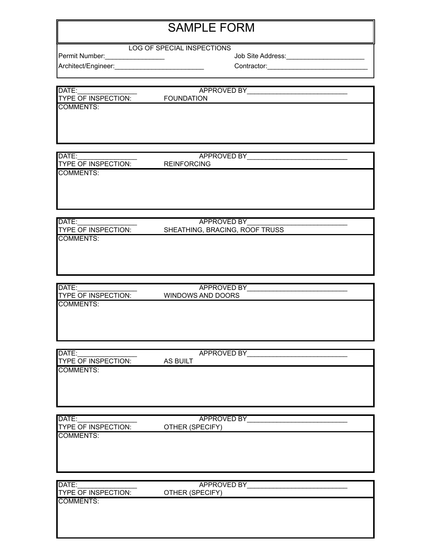# SAMPLE FORM

#### LOG OF SPECIAL INSPECTIONS

Architect/Engineer:\_\_\_\_\_\_\_\_\_\_\_\_\_\_\_\_\_\_\_\_\_\_\_\_ Contractor:\_\_\_\_\_\_\_\_\_\_\_\_\_\_\_\_\_\_\_\_\_\_\_\_\_\_\_

Permit Number:\_\_\_\_\_\_\_\_\_\_\_\_\_\_\_\_ Job Site Address:\_\_\_\_\_\_\_\_\_\_\_\_\_\_\_\_\_\_\_\_\_

| DATE:               | APPROVED BY       |  |
|---------------------|-------------------|--|
| TYPE OF INSPECTION: | <b>FOUNDATION</b> |  |
| COMMENTS:           |                   |  |
|                     |                   |  |
|                     |                   |  |

| DATE:                      | <b>APPROVED BY</b> |  |
|----------------------------|--------------------|--|
| <b>TYPE OF INSPECTION:</b> | <b>REINFORCING</b> |  |
| COMMENTS:                  |                    |  |
|                            |                    |  |
|                            |                    |  |

| DATE:                       | APPROVED BY                    |  |
|-----------------------------|--------------------------------|--|
| <b>ITYPE OF INSPECTION:</b> | SHEATHING, BRACING, ROOF TRUSS |  |
| COMMENTS:                   |                                |  |
|                             |                                |  |

| <b>IDATE:</b>               | APPROVED BY       |  |
|-----------------------------|-------------------|--|
| <b>ITYPE OF INSPECTION:</b> | WINDOWS AND DOORS |  |
| <b>COMMENTS:</b>            |                   |  |

| DATE:                      | APPROVED BY |  |
|----------------------------|-------------|--|
| <b>TYPE OF INSPECTION:</b> | AS BUILT    |  |
| COMMENTS:                  |             |  |
|                            |             |  |
|                            |             |  |
|                            |             |  |

| DATE:                      | <b>APPROVED BY</b> |
|----------------------------|--------------------|
| <b>TYPE OF INSPECTION:</b> | OTHER (SPECIFY)    |
| <b>COMMENTS:</b>           |                    |
|                            |                    |
|                            |                    |
|                            |                    |

| DATE:                                   | <b>APPROVED BY</b> |  |
|-----------------------------------------|--------------------|--|
| <b>TYPE OF INSPECTION:</b><br>COMMENTS: | OTHER (SPECIFY)    |  |
|                                         |                    |  |
|                                         |                    |  |
|                                         |                    |  |